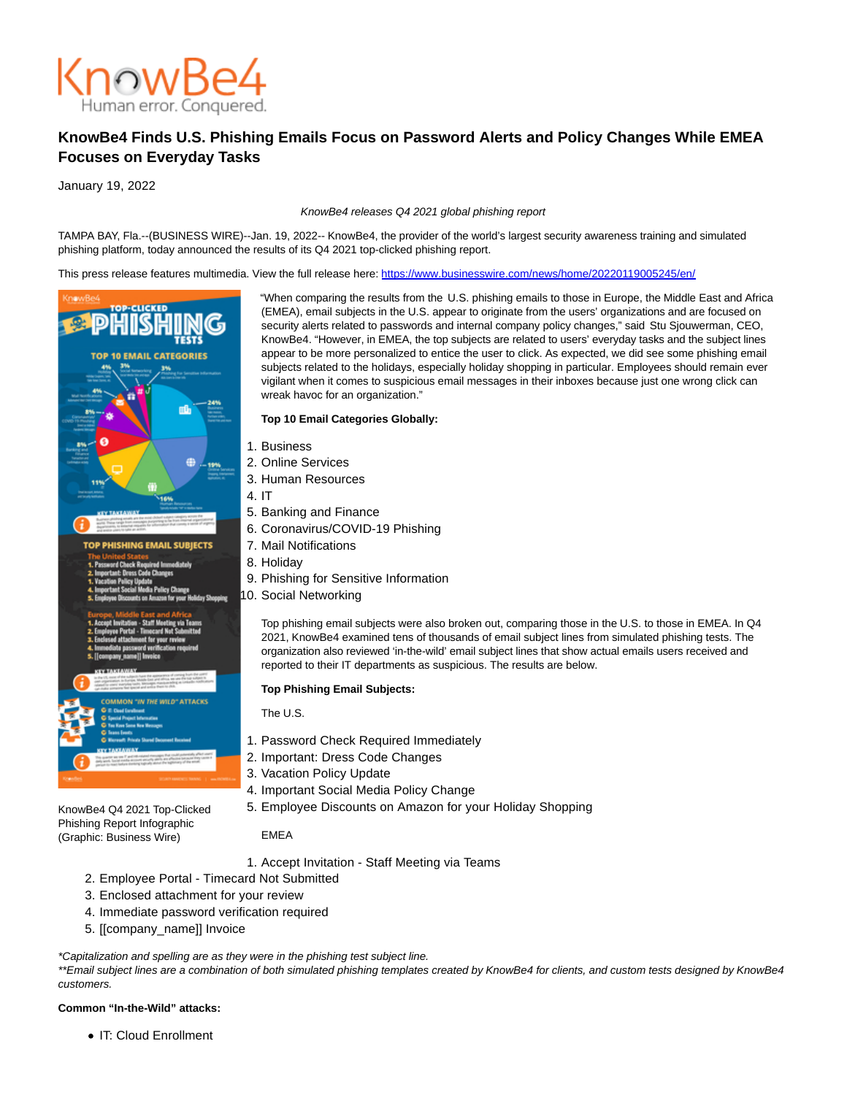

# **KnowBe4 Finds U.S. Phishing Emails Focus on Password Alerts and Policy Changes While EMEA Focuses on Everyday Tasks**

January 19, 2022

#### KnowBe4 releases Q4 2021 global phishing report

TAMPA BAY, Fla.--(BUSINESS WIRE)--Jan. 19, 2022-- KnowBe4, the provider of the world's largest security awareness training and simulated phishing platform, today announced the results of its Q4 2021 top-clicked phishing report.

This press release features multimedia. View the full release here:<https://www.businesswire.com/news/home/20220119005245/en/>



"When comparing the results from the U.S. phishing emails to those in Europe, the Middle East and Africa (EMEA), email subjects in the U.S. appear to originate from the users' organizations and are focused on security alerts related to passwords and internal company policy changes," said Stu Sjouwerman, CEO, KnowBe4. "However, in EMEA, the top subjects are related to users' everyday tasks and the subject lines appear to be more personalized to entice the user to click. As expected, we did see some phishing email subjects related to the holidays, especially holiday shopping in particular. Employees should remain ever vigilant when it comes to suspicious email messages in their inboxes because just one wrong click can wreak havoc for an organization."

## **Top 10 Email Categories Globally:**

- 1. Business
- 2. Online Services
- 3. Human Resources
- 4. IT
- 5. Banking and Finance
- 6. Coronavirus/COVID-19 Phishing
- 7. Mail Notifications
- 8. Holiday
	- 9. Phishing for Sensitive Information
	- 10. Social Networking

Top phishing email subjects were also broken out, comparing those in the U.S. to those in EMEA. In Q4 2021, KnowBe4 examined tens of thousands of email subject lines from simulated phishing tests. The organization also reviewed 'in-the-wild' email subject lines that show actual emails users received and reported to their IT departments as suspicious. The results are below.

#### **Top Phishing Email Subjects:**

The U.S.

- 1. Password Check Required Immediately
- 2. Important: Dress Code Changes
- 3. Vacation Policy Update
- 4. Important Social Media Policy Change
- 5. Employee Discounts on Amazon for your Holiday Shopping

EMEA

- 1. Accept Invitation Staff Meeting via Teams
- 2. Employee Portal Timecard Not Submitted
- 3. Enclosed attachment for your review
- 4. Immediate password verification required
- 5. [[company\_name]] Invoice

### \*Capitalization and spelling are as they were in the phishing test subject line.

\*\*Email subject lines are a combination of both simulated phishing templates created by KnowBe4 for clients, and custom tests designed by KnowBe4 customers.

#### **Common "In-the-Wild" attacks:**

KnowBe4 Q4 2021 Top-Clicked Phishing Report Infographic (Graphic: Business Wire)

• IT: Cloud Enrollment